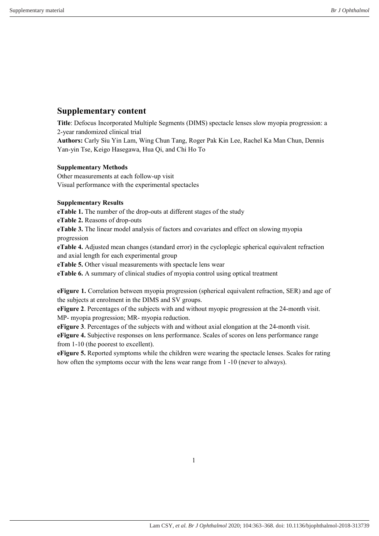# Supplementary content

Title: Defocus Incorporated Multiple Segments (DIMS) spectacle lenses slow myopia progression: a 2-year randomized clinical trial

Authors: Carly Siu Yin Lam, Wing Chun Tang, Roger Pak Kin Lee, Rachel Ka Man Chun, Dennis Yan-yin Tse, Keigo Hasegawa, Hua Qi, and Chi Ho To

## Supplementary Methods

Other measurements at each follow-up visit Visual performance with the experimental spectacles

## Supplementary Results

eTable 1. The number of the drop-outs at different stages of the study

eTable 2. Reasons of drop-outs

eTable 3. The linear model analysis of factors and covariates and effect on slowing myopia progression

eTable 4. Adjusted mean changes (standard error) in the cycloplegic spherical equivalent refraction and axial length for each experimental group

eTable 5. Other visual measurements with spectacle lens wear

eTable 6. A summary of clinical studies of myopia control using optical treatment

eFigure 1. Correlation between myopia progression (spherical equivalent refraction, SER) and age of the subjects at enrolment in the DIMS and SV groups.

eFigure 2. Percentages of the subjects with and without myopic progression at the 24-month visit. MP- myopia progression; MR- myopia reduction.

eFigure 3. Percentages of the subjects with and without axial elongation at the 24-month visit.

eFigure 4. Subjective responses on lens performance. Scales of scores on lens performance range from 1-10 (the poorest to excellent).

eFigure 5. Reported symptoms while the children were wearing the spectacle lenses. Scales for rating how often the symptoms occur with the lens wear range from 1 -10 (never to always).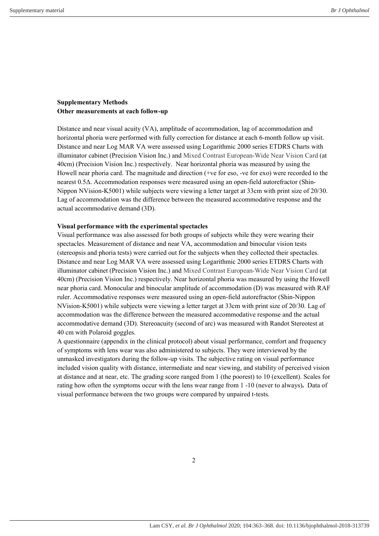### Supplementary Methods Other measurements at each follow-up

Distance and near visual acuity (VA), amplitude of accommodation, lag of accommodation and horizontal phoria were performed with fully correction for distance at each 6-month follow up visit. Distance and near Log MAR VA were assessed using Logarithmic 2000 series ETDRS Charts with illuminator cabinet (Precision Vision Inc.) and Mixed Contrast European-Wide Near Vision Card (at 40cm) (Precision Vision Inc.) respectively. Near horizontal phoria was measured by using the Howell near phoria card. The magnitude and direction (+ve for eso, -ve for exo) were recorded to the nearest 0.5Δ. Accommodation responses were measured using an open-field autorefractor (Shin-Nippon NVision-K5001) while subjects were viewing a letter target at 33cm with print size of 20/30. Lag of accommodation was the difference between the measured accommodative response and the actual accommodative demand (3D).

#### Visual performance with the experimental spectacles

Visual performance was also assessed for both groups of subjects while they were wearing their spectacles. Measurement of distance and near VA, accommodation and binocular vision tests (stereopsis and phoria tests) were carried out for the subjects when they collected their spectacles. Distance and near Log MAR VA were assessed using Logarithmic 2000 series ETDRS Charts with illuminator cabinet (Precision Vision Inc.) and Mixed Contrast European-Wide Near Vision Card (at 40cm) (Precision Vision Inc.) respectively. Near horizontal phoria was measured by using the Howell near phoria card. Monocular and binocular amplitude of accommodation (D) was measured with RAF ruler. Accommodative responses were measured using an open-field autorefractor (Shin-Nippon NVision-K5001) while subjects were viewing a letter target at 33cm with print size of 20/30. Lag of accommodation was the difference between the measured accommodative response and the actual accommodative demand (3D). Stereoacuity (second of arc) was measured with Randot Stereotest at 40 cm with Polaroid goggles.

A questionnaire (appendix in the clinical protocol) about visual performance, comfort and frequency of symptoms with lens wear was also administered to subjects. They were interviewed by the unmasked investigators during the follow-up visits. The subjective rating on visual performance included vision quality with distance, intermediate and near viewing, and stability of perceived vision at distance and at near, etc. The grading score ranged from 1 (the poorest) to 10 (excellent). Scales for rating how often the symptoms occur with the lens wear range from 1 -10 (never to always). Data of visual performance between the two groups were compared by unpaired t-tests.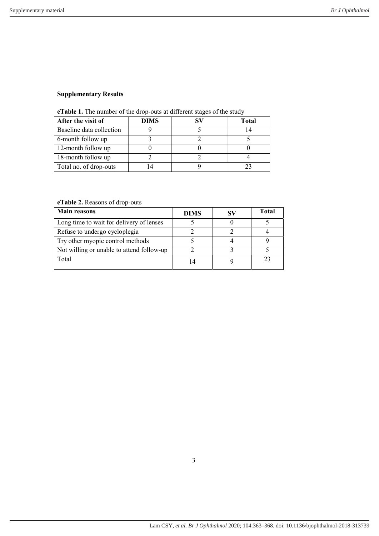# Supplementary Results

| <b>Crapters</b> 1. The number of the drop bats at unferent stages of the stad y |             |    |              |  |  |  |  |
|---------------------------------------------------------------------------------|-------------|----|--------------|--|--|--|--|
| After the visit of                                                              | <b>DIMS</b> | SV | <b>Total</b> |  |  |  |  |
| Baseline data collection                                                        |             |    |              |  |  |  |  |
| 6-month follow up                                                               |             |    |              |  |  |  |  |
| 12-month follow up                                                              |             |    |              |  |  |  |  |
| 18-month follow up                                                              |             |    |              |  |  |  |  |
| Total no. of drop-outs                                                          |             |    |              |  |  |  |  |

|  | eTable 1. The number of the drop-outs at different stages of the study |  |
|--|------------------------------------------------------------------------|--|
|  |                                                                        |  |

eTable 2. Reasons of drop-outs

| <b>Main reasons</b>                       | <b>DIMS</b> | <b>Total</b> |
|-------------------------------------------|-------------|--------------|
| Long time to wait for delivery of lenses  |             |              |
| Refuse to undergo cycloplegia             |             |              |
| Try other myopic control methods          |             |              |
| Not willing or unable to attend follow-up |             |              |
| Total                                     | 14          | 23           |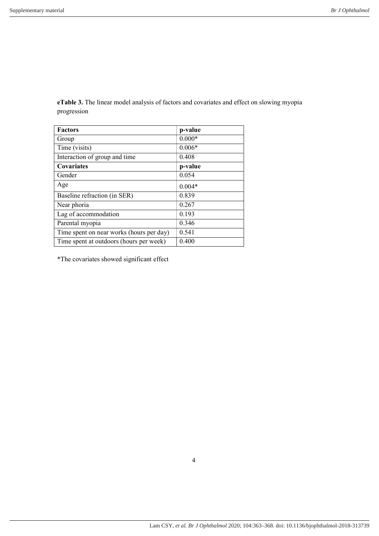| <b>Factors</b>                           | p-value  |
|------------------------------------------|----------|
| Group                                    | $0.000*$ |
| Time (visits)                            | $0.006*$ |
| Interaction of group and time            | 0.408    |
| <b>Covariates</b>                        | p-value  |
| Gender                                   | 0.054    |
| Age                                      | $0.004*$ |
| Baseline refraction (in SER)             | 0.839    |
| Near phoria                              | 0.267    |
| Lag of accommodation                     | 0.193    |
| Parental myopia                          | 0.346    |
| Time spent on near works (hours per day) | 0.541    |
| Time spent at outdoors (hours per week)  | 0.400    |

eTable 3. The linear model analysis of factors and covariates and effect on slowing myopia progression

\*The covariates showed significant effect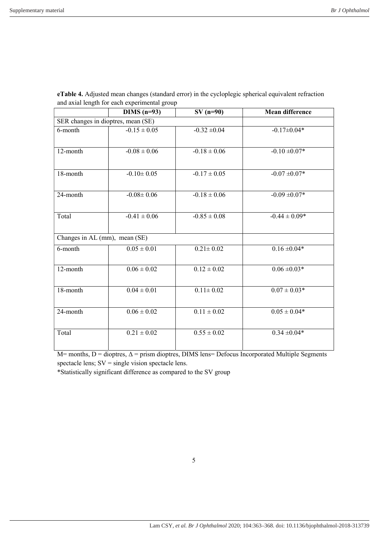|                                    | $DIMS$ (n=93)    | $SV(n=90)$       | <b>Mean difference</b> |  |  |  |  |
|------------------------------------|------------------|------------------|------------------------|--|--|--|--|
| SER changes in dioptres, mean (SE) |                  |                  |                        |  |  |  |  |
| 6-month                            | $-0.15 \pm 0.05$ | $-0.32 \pm 0.04$ | $-0.17 \pm 0.04*$      |  |  |  |  |
| 12-month                           | $-0.08 \pm 0.06$ | $-0.18 \pm 0.06$ | $-0.10 \pm 0.07*$      |  |  |  |  |
| 18-month                           | $-0.10 \pm 0.05$ | $-0.17 \pm 0.05$ | $-0.07 + 0.07*$        |  |  |  |  |
| 24-month                           | $-0.08 \pm 0.06$ | $-0.18 \pm 0.06$ | $-0.09 \pm 0.07*$      |  |  |  |  |
| Total                              | $-0.41 \pm 0.06$ | $-0.85 \pm 0.08$ | $-0.44 \pm 0.09*$      |  |  |  |  |
| Changes in AL (mm), mean (SE)      |                  |                  |                        |  |  |  |  |
| 6-month                            | $0.05 \pm 0.01$  | $0.21 \pm 0.02$  | $0.16 \pm 0.04*$       |  |  |  |  |
| 12-month                           | $0.06 \pm 0.02$  | $0.12 \pm 0.02$  | $0.06 \pm 0.03*$       |  |  |  |  |
| 18-month                           | $0.04 \pm 0.01$  | $0.11 \pm 0.02$  | $0.07 \pm 0.03*$       |  |  |  |  |
| 24-month                           | $0.06 \pm 0.02$  | $0.11\pm0.02$    | $0.05 \pm 0.04*$       |  |  |  |  |
| Total                              | $0.21\pm0.02$    | $0.55 \pm 0.02$  | $0.34 \pm 0.04*$       |  |  |  |  |

| eTable 4. Adjusted mean changes (standard error) in the cycloplegic spherical equivalent refraction |
|-----------------------------------------------------------------------------------------------------|
| and axial length for each experimental group                                                        |

 $M=$  months, D = dioptres,  $\Delta$  = prism dioptres, DIMS lens= Defocus Incorporated Multiple Segments spectacle lens; SV = single vision spectacle lens.

\*Statistically significant difference as compared to the SV group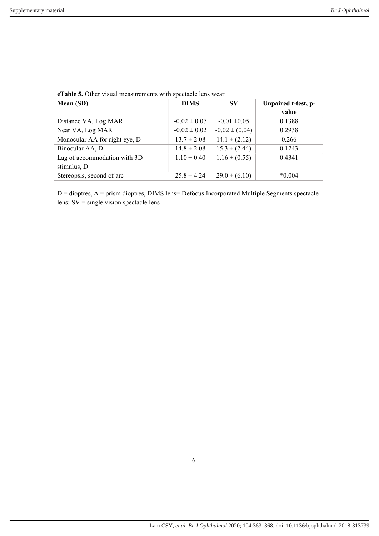| Mean (SD)                     | <b>DIMS</b>      | $S_{V}$            | Unpaired t-test, p- |
|-------------------------------|------------------|--------------------|---------------------|
|                               |                  |                    | value               |
| Distance VA, Log MAR          | $-0.02 \pm 0.07$ | $-0.01 \pm 0.05$   | 0.1388              |
| Near VA, Log MAR              | $-0.02 \pm 0.02$ | $-0.02 \pm (0.04)$ | 0.2938              |
| Monocular AA for right eye, D | $13.7 \pm 2.08$  | $14.1 \pm (2.12)$  | 0.266               |
| Binocular AA, D               | $14.8 \pm 2.08$  | $15.3 \pm (2.44)$  | 0.1243              |
| Lag of accommodation with 3D  | $1.10 \pm 0.40$  | $1.16 \pm (0.55)$  | 0.4341              |
| stimulus, D                   |                  |                    |                     |
| Stereopsis, second of arc     | $25.8 \pm 4.24$  | $29.0 \pm (6.10)$  | $*0.004$            |

eTable 5. Other visual measurements with spectacle lens wear

D = dioptres, Δ = prism dioptres, DIMS lens= Defocus Incorporated Multiple Segments spectacle lens; SV = single vision spectacle lens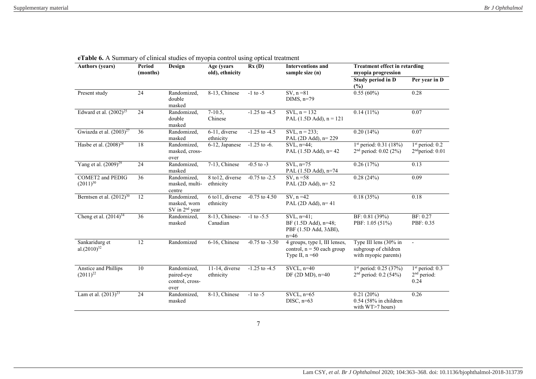| <b>Authors (years)</b>                          | Period<br>(months) | Design                                                    | Age (years<br>old), ethnicity | Rx(D)              | <b>Interventions and</b><br>sample size (n)                                                     | <b>Treatment effect in retarding</b><br>myopia progression            |                                                   |
|-------------------------------------------------|--------------------|-----------------------------------------------------------|-------------------------------|--------------------|-------------------------------------------------------------------------------------------------|-----------------------------------------------------------------------|---------------------------------------------------|
|                                                 |                    |                                                           |                               |                    |                                                                                                 | Study period in D<br>$(\%)$                                           | Per year in D                                     |
| Present study                                   | 24                 | Randomized,<br>double<br>masked                           | 8-13, Chinese                 | $-1$ to $-5$       | $SV, n = 81$<br>DIMS, $n=79$                                                                    | 0.55(60%)                                                             | 0.28                                              |
| Edward et al. $(2002)^{25}$                     | 24                 | Randomized,<br>double<br>masked                           | $7-10.5,$<br>Chinese          | $-1.25$ to $-4.5$  | $SVL, n = 132$<br>PAL $(1.5D \text{ Add})$ , n = 121                                            | $0.14(11\%)$                                                          | 0.07                                              |
| Gwiazda et al. $(2003)^{27}$                    | 36                 | Randomized,<br>masked                                     | 6-11, diverse<br>ethnicity    | $-1.25$ to $-4.5$  | SVL, $n = 233$ ;<br>PAL (2D Add), n= 229                                                        | 0.20(14%)                                                             | 0.07                                              |
| Hasbe et al. $(2008)^{28}$                      | 18                 | Randomized,<br>masked, cross-<br>over                     | 6-12, Japanese                | $-1.25$ to $-6$ .  | SVL, n=44;<br>PAL $(1.5D \text{ Add})$ , n= 42                                                  | $1st$ period: 0.31 (18%)<br>$2nd$ period: 0.02 (2%)                   | $1st$ period: 0.2<br>2 <sup>nd</sup> period: 0.01 |
| Yang et al. $(2009)^{29}$                       | 24                 | Randomized,<br>masked                                     | 7-13, Chinese                 | $-0.5$ to $-3$     | $SVL$ , $n=75$<br>PAL (1.5D Add), n=74                                                          | 0.26(17%)                                                             | 0.13                                              |
| <b>COMET2</b> and <b>PEDIG</b><br>$(2011)^{30}$ | 36                 | Randomized,<br>masked, multi-<br>centre                   | 8 to 12, diverse<br>ethnicity | $-0.75$ to $-2.5$  | SV, $n = 58$<br>PAL $(2D \text{ Add})$ , n= 52                                                  | 0.28(24%)                                                             | 0.09                                              |
| Berntsen et al. $(2012)^{30}$                   | 12                 | Randomized,<br>masked, worn<br>SV in 2 <sup>nd</sup> year | 6 to 11, diverse<br>ethnicity | $-0.75$ to 4.50    | SV, $n = 42$<br>PAL $(2D \text{ Add})$ , n= 41                                                  | 0.18(35%)                                                             | 0.18                                              |
| Cheng et al. $(2014)^{34}$                      | 36                 | Randomized,<br>masked                                     | 8-13, Chinese-<br>Canadian    | $-1$ to $-5.5$     | $SVL$ , $n=41$ ;<br>BF $(1.5D \text{ Add})$ , n=48;<br>PBF (1.5D Add, 3 $\Delta$ BI),<br>$n=46$ | BF: 0.81 (39%)<br>PBF: 1.05 (51%)                                     | BF: 0.27<br>PBF: 0.35                             |
| Sankaridurg et<br>al. $(2010)^{32}$             | 12                 | Randomized                                                | 6-16, Chinese                 | $-0.75$ to $-3.50$ | 4 groups, type I, III lenses,<br>control, $n = 50$ each group<br>Type II, $n = 60$              | Type III lens (30% in<br>subgroup of children<br>with myopic parents) | $\overline{a}$                                    |
| Anstice and Phillips<br>$(2011)^{22}$           | 10                 | Randomized,<br>paired-eye<br>control, cross-<br>over      | 11-14, diverse<br>ethnicity   | $-1.25$ to $-4.5$  | $SVCL$ , $n=40$<br>DF $(2D \text{ MD})$ , n=40                                                  | 1 <sup>st</sup> period: 0.25 (37%)<br>$2nd$ period: 0.2 (54%)         | $1st$ period: 0.3<br>$2nd$ period:<br>0.24        |
| Lam et al. $(2013)^{23}$                        | 24                 | Randomized,<br>masked                                     | 8-13, Chinese                 | $-1$ to $-5$       | $SVCL$ , $n=65$<br>DISC, $n=63$                                                                 | 0.21(20%)<br>$0.54$ (58% in children<br>with WT>7 hours)              | 0.26                                              |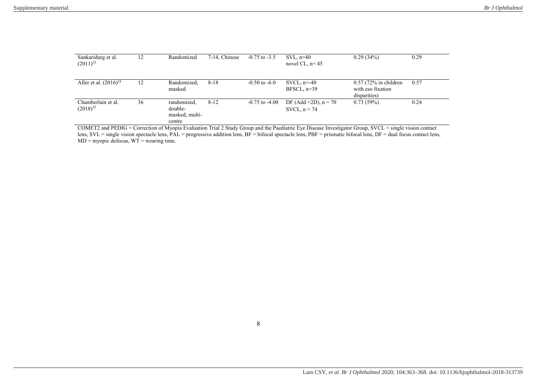| Sankaridurg et al.<br>$(2011)^{33}$ | 12 | Randomized                                         | 7-14, Chinese | $-0.75$ to $-3.5$  | $SVL$ , n=40<br>novel CL, $n=45$         | 0.29(34%)                                                    | 0.29 |
|-------------------------------------|----|----------------------------------------------------|---------------|--------------------|------------------------------------------|--------------------------------------------------------------|------|
| Aller et al. $(2016)^{24}$          | 12 | Randomized,<br>masked                              | $8 - 18$      | $-0.50$ to $-6.0$  | SVCL, $n=-40$<br>$BFSCL$ , $n=39$        | $0.57$ (72% in children<br>with eso fixation<br>disparities) | 0.57 |
| Chamberlain et al.<br>$(2018)^{35}$ | 36 | randomized,<br>double-<br>masked, multi-<br>centre | $8 - 12$      | $-0.75$ to $-4.00$ | DF (Add +2D), $n = 70$<br>SVCL, $n = 74$ | 0.73(59%)                                                    | 0.24 |

COMET2 and PEDIG = Correction of Myopia Evaluation Trial 2 Study Group and the Paediatric Eye Disease Investigator Group, SVCL = single vision contact lens,  $SVL$  = single vision spectacle lens,  $PAL$  = progressive addition lens,  $BF$  = bifocal spectacle lens,  $PBF$  = prismatic bifocal lens,  $DF$  = dual focus contact lens,  $MD = myopic$  defocus,  $WT =$  wearing time.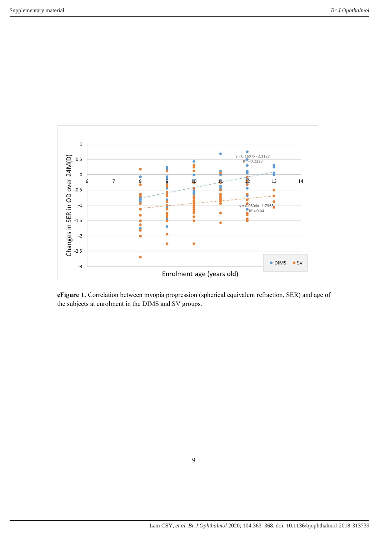

eFigure 1. Correlation between myopia progression (spherical equivalent refraction, SER) and age of the subjects at enrolment in the DIMS and SV groups.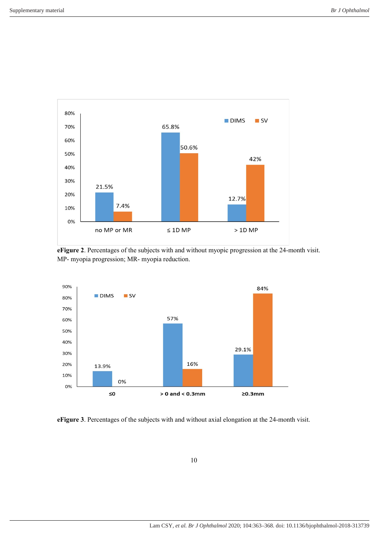

eFigure 2. Percentages of the subjects with and without myopic progression at the 24-month visit. MP- myopia progression; MR- myopia reduction.



eFigure 3. Percentages of the subjects with and without axial elongation at the 24-month visit.